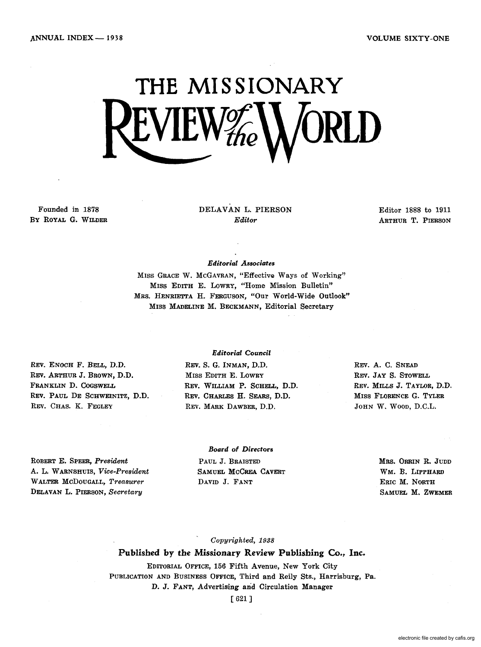VOLUME SIXTY -ONE

# **THE MISSIONARY**  LVILW $\mathcal{H}_\textit{he}$

Founded in 1878 By ROYAL G. WILDER DELAVAN L. PIERSON *Editor* 

Editor 1888 to 1911 ARTHUR T. PIERSON

### *Editorial Associates*

MISS GRACE W. MCGAVRAN, "Effective Ways of Working" MISS EDITH E. LOWRY, "Home Mission Bulletin" MRS. HENRIETTA H. FERGUSON, "Our World-Wide Outlook" MISS MADELINE M. BECKMANN, Editorial Secretary

REV. ENOCH F. BELL, D.D. REV. ARTHUR J. BROWN, D.D. FRANKLIN D. COGSWELL REV. PAUL DE SCHWEINITZ, D.D. REV. CHAS. K. FEGLEY

### *Editorial Council*

REV. S. G. INMAN, D.D. MISS EDITH E. LOWRY REV. WILLIAM P. SCHELL, D.D. REV. CHARLES H. SEARS, D.D. REV. MARK DAWBER, D.D.

REV. A. C. SNEAD REV. JAY S. STOWELL REV. MILLS J. TAYLOR, D.D. MISS FLORENCE G. TYLER JOHN W. WOOD, D.C.L.

ROBERT E. SPEER, *President*  A. L. W ARNSHUlS, *Vice-President*  WALTER McDOUGALL, *Treasurer*  DELAVAN L. PIERSON, *Secretary* 

### *Board of Directors*  PAUL J. BRAISTED SAMUEL MCCREA CAVERT DAVID J. FANT

MRS. ORRIN R. JUDD WM. B. LIPPHARD ERIC M. NORTH SAMUEL M. ZWEMER

### *Copyrighted, 1938*

### Published by the Missionary Review Publishing Co., Inc.

EDITORIAL OFFICE, 156 Fifth Avenue, New York City PUBLICATION AND BUSINESS OFFICE, Third and Reily Sts., Harrisburg, Pa. D. J. FANT, Advertising and Circulation Manager

[621 ]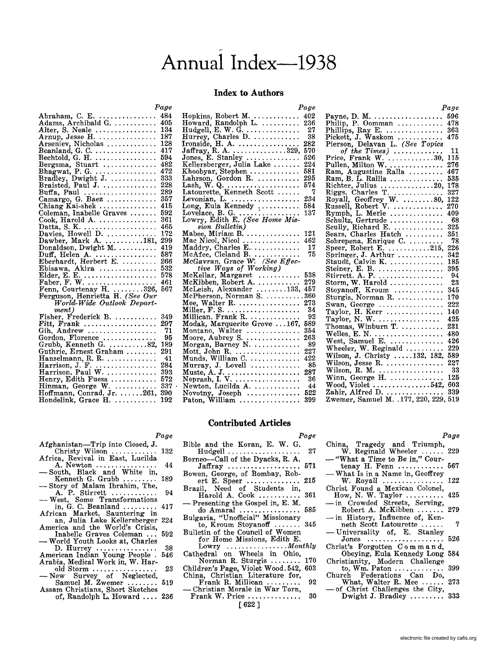# Annual Index--1938

### **Index to Authors**

*Page* 

|                                              | Page |
|----------------------------------------------|------|
| Abraham, C. E.                               | 484  |
|                                              | 405  |
|                                              | 134  |
|                                              | 187  |
|                                              | 128  |
| Arseniev, Nicholas<br>Beanland, G. C.        | 417  |
| Bechtold, G. H. $\dots\dots\dots\dots\dots$  | 594  |
| Bergsma, Stuart                              | 482  |
|                                              | 472  |
|                                              | 333  |
| Braisted, Paul J.                            | 228  |
|                                              | 289  |
| Buffa, Paul<br>Camargo, G. Baez              | 357  |
| Chiang Kai-shek                              | 415  |
| Coleman, Inabelle Graves                     | 592  |
| Cook, Harold A.                              | 361  |
|                                              | 465  |
|                                              | 172  |
|                                              | 299  |
| Dawber, Mark A. 181,<br>Donaldson, Dwight M. | 419  |
|                                              | 587  |
| Duff, Helen A.<br>Eberhardt, Herbert E.      | 266  |
|                                              | 532  |
| Ebisawa, Akira<br>Elder, E. E.               | 578  |
|                                              | 461  |
|                                              | 567  |
|                                              |      |
| World-Wide Outlook Depart-                   |      |
| $ment$ )                                     |      |
| Fisher, Frederick B.                         | 349  |
| Fitt, Frank                                  | 297  |
| Gih, Andrew                                  | 71   |
|                                              | 95   |
| Gordon, Florence<br>Grubb, Kenneth G. 82,    | 189  |
| Guthrie, Ernest Graham                       | 291  |
| Hanselmann, R. R.                            | 41   |
|                                              | 284  |
| Harrison, J. F.<br>Harrison, Paul W.         | 393  |
| Henry, Edith Fuess<br>Hinman, George W.      | 572  |
|                                              | 337  |
| Hoffmann, Conrad, Jr. 261,                   | 390  |
| Hondelink, Grace $H. \ldots \ldots \ldots$   | 192  |

|                                                                                               | ີ    |
|-----------------------------------------------------------------------------------------------|------|
| Hopkins, Robert M. _                                                                          | 402  |
|                                                                                               |      |
| Howard, Randolph L.                                                                           | 236  |
|                                                                                               | 27   |
|                                                                                               | 38   |
| Hudgell, E. W. G.<br>Hurrey, Charles D.<br>Ironside, H. A.<br>Jaffray, R. A.                  |      |
|                                                                                               | 282  |
|                                                                                               | 570  |
|                                                                                               | 526  |
|                                                                                               |      |
| Jones, E. Stanley<br>Kellersberger, Julia Lake                                                | 224  |
|                                                                                               | 581  |
|                                                                                               |      |
|                                                                                               | 295  |
| Lash, W. Q.<br>Latourette, Kenneth Scott                                                      | 574  |
|                                                                                               | - 7  |
|                                                                                               |      |
| Levonian, L.<br>Long, Eula Kennedy                                                            | 234  |
|                                                                                               | 584  |
| Lovelace, B. G.<br>Lowry, Edith E. (See Home Mis-                                             | 137  |
|                                                                                               |      |
|                                                                                               |      |
| sion Bulletin)                                                                                |      |
| Mabee, Miriam B.                                                                              | 121  |
|                                                                                               |      |
|                                                                                               | 462  |
|                                                                                               | 17   |
|                                                                                               |      |
|                                                                                               |      |
|                                                                                               | 75   |
|                                                                                               |      |
| Mac Nicol, Nicol<br>Maddry, Charles E.<br>McAfee, Cleland B<br>McGavran, Grace W. (See Effec- |      |
| tive Ways of Working)                                                                         |      |
|                                                                                               | 538  |
|                                                                                               | 279  |
| McKellar, Margaret<br>McKibben, Robert A.                                                     |      |
| McLeish, Alexander 133,                                                                       | 457  |
| McPherson, Norman S. 360                                                                      |      |
|                                                                                               | 273  |
| Mee, Walter R. $\dots\dots\dots\dots\dots$                                                    |      |
|                                                                                               | - 34 |
|                                                                                               | - 92 |
|                                                                                               | 589  |
|                                                                                               |      |
|                                                                                               | 354  |
|                                                                                               | 263  |
| Montano, Walter<br>Moore, Aubrey S                                                            | 89   |
| Morgan, Barney N.                                                                             |      |
|                                                                                               | 227  |
|                                                                                               | 422  |
| Mott, John R.<br>Munds, William C.                                                            | 85   |
| Murray, J. Lovell                                                                             |      |
|                                                                                               | 287  |
|                                                                                               | 36   |
|                                                                                               | 44   |
|                                                                                               |      |
|                                                                                               | 522  |
| Paton, William                                                                                | 399  |

### *Page*  Payne, D. M. .................. 596 Philip, P. Oomman ............. 478 Phillips, P. Comman ................ 478<br>Phillips, Ray E. .................. 363 Pickett, J. Waskom ............ 475 Pierson, Delavan L. *(See Topics of the Times)* ............. 11 Price, Frank W ............. 30, 115 Pullen, Milton W ............... 276 Ram, Augustine RaIla ......... 467 Ram, B. L. RalIia .............. 535 Richter, Julius .............. 20, 178 Riggs. Charles T .............. 327 Royall, Geoffrey W. ............... 821<br>Russell, Robert V. .................. 270 Rymph, L. Merle .............. 409 Schultz, Gertrude... . . . . . . . . . .. 68 Scully, Richard E. ............. 325 Sears, Charles Hatch ............. 329 Sears, Charles Hatch ........... 591<br>Sobrepena, Enrique C............... 78 Sobrepena, Enrique C. .......... 78<br>Speer, Robert E. .............215, 226<br>Springer. J. Arthur ................ 342 Spring-er, J. Arthur ............ 342 Staudt, Calvin K. .............. <sup>185</sup> Staudt, Calvin K. . . . . . . . . . . . . . . 185<br>Steiner, E. B. . . . . . . . . . . . . . . . 395<br>Stirrett, A. P. . . . . . . . . . . . . . . . . 94 Stirrett. A. P. ................. 94 Storm, W. Harold.............. 23 Stoyanoff, Kroum ............. 345 Sturgis, Norman R. $\dots$ ......... Swan, George ................. 222 Taylor, H. Kerr ............... 140 Taylor, N. W. ................ 425 Thomas, Winburn T. ............... 231 Welles, E. N ................... 480 West, Samuel E. .............. <sup>426</sup> Wheeler, W. Reginald .......... 229 Wilson, J. Christy ..... 132, 182, 589 Wilson, Jesse R ................ 227 Wilson, R. M. ................. 33 Winn, George H. .............. 125 Wood, Violet ............... 542, 603 Zahir, Alfred D ................ 339 Zwemer, Samuel M. . 177, 220, 229, 519

### **Contributed Articles**

Hudgell ................... 27

*Page* 

## Bible and the Koran, E. W. G.

Borneo--Call of the Dyacks, R. A.  $Jaffray$  ............................ 571 Bowen, George, of Bombay, Robert E. Speer .............. 215 Brazil, Need of Students in, Harold A. Cook ........... 361 - Presenting the Gospel in, E. M.

Afghanistan-Trip into Closed, J.<br>Christy Wilson ............. 132 Christy Wilson ............

*Page* 

- Africa, Revival in East, Lucilda<br>
A. Newton ....................... 44<br>
 South, Black and White in,
- South, Black and White in,<br>Kenneth G. Grubb ......... 189<br>- Story of Malam Ibrahim, The,
- Story of Malam Ibrahim, The,<br>A. P. Stirrett ................ 94<br>West, Some Transformations<br>in, G. C. Beanland ......... 417
- in, G. C. Beanland  $\ldots \ldots \ldots$
- African Market, Sauntering in an, Julia Lake Kellersberger 224 America and the World's Crisis,<br>Inabelle Graves Coleman
- Inabelle Graves Coleman ... 592 World Youth Looks at, Charles World Youth Looks at, Charles
- American Indian Young People . 546 Arabia, Medical Work in, W. Har-
- Arabia, medical work in, w. Har-<br>old Storm .......................... 23<br>— New Survey of Neglected,
- Samuel M. Zwemer ........ 519 Assam Christians, Short Sketches of, Randolph L. Howard .. .. 236
- do Amaral ................ 585 Bulgaria, "Unofficial" Missionary to, Kroum Stoyanoff ....... 345 Bulletin of the Council of Women
	- for Home Missions, Edith E. Lowry ................ *Monthly*
- Cathedral on Wheels in Ohio, Norman R. Sturgis ........ 170
- Children's Page, Violet Wood. 542, 603
- China, Christian Literature for,<br>Frank R. Millican ......... 92<br>- Christian Morale in War Torn, Frank W. Price . . . . . . . . . . . . .. 30
	-

### [622 ]

### *Page*

- China, Tragedy and Triumph, W. Reginald Wheeler ...... 229 - "What a Time to Be in," Courtenay H. Fenn ............ 567
- What Is in a Name in, Geoffrey
- W. Royall ................ 122 Christ Found a Mexican Colonel, How, N. W. Taylor .......... 425
- in Crowded Streets, Serving, Robert A. McKibben .......
- in History, Influence of, Ken-neth Scott Latourette ...... 7
- Universality of, E. Stanley Jones .................... 526
- Christ's Forgotten Com man d, Obeying, Eula Kennedy Long 584
- 
- Christianity, Modern Challenge<br>
to, Wm. Paton ................ 399<br>
Church Federations Can Do,<br>
What, Walter R. Mee ...... 273<br>
-- of Christ Challenges the City,
- 
- of Christ Challenges the City,<br>Dwight J. Bradley .......... 333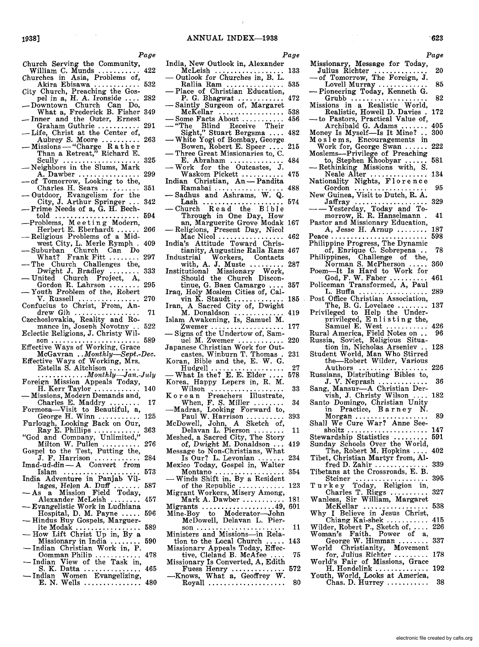*Page* 

- Church Serving the Community, Church Serving the Community,<br>William C. Munds ............ 422<br>Churches in Asia, Problems of,
- Akira Ebisawa ............ 532
- City Church, Preaching the Gos-pel in a, H. A. Ironside .... 282 \_ Downtown Church Can Do,
- Downtown Church Can Do,<br>What a, Frederick B. Fisher 349<br>Inner and the Outer, Ernest<br>Graham Guthrie ........... 291
- 
- Life, Christ at the Center of,<br>Aubrey S. Moore ........... 263
- Aubrey S. Moore .......... 263 Missions "Charge Rat her Than a Retreat," Richard E.
- Scully .................... 325 Neighbors in the Slums, Mark
- A. Dawber ................ 299 of Tomorrow, Looking to the,
- -- of Tomorrow, Looking to the,<br>Charles H. Sears ........... 351<br>-- Outdoor, Evangelism for the
- City, J. Arthur Springer ... 342 Prime Needs of a, G. H. Bech-
- 
- told ...................... 594 -Problems, Me e tin g Modern, Herbert E. Eberhardt ...... 266 Religious Problems of a Mid-
- west City, L. Merle Rymph . 409<br>- Suburban Church Can Do
- Suburban Church Can Do<br>What? Frank Fitt ........ 297<br>— The Church Challenges the,
- -The Church Challenges the,<br>Dwight J. Bradley ........ 333<br>- United Church Project, A,
- United Church Project, A, Gordon R. Lahrson ......... 295<br>Youth Problem of the, Robert<br>V. Russell .................... 270
- $V.$  Russell  $\ldots$  . . . . . . . . . . . . . . . . Confucius to Christ, From, An-
- drew Gih ................. 71
- Czechoslovakia, Reality and Ro- mance in, Joseph Novotny .. 522
- Eclectic Religions, J. Christy Wil- son ....................... 589 Effective Ways of Working, Grace
- McGavran .. *Monthly-Sept.-Dec.*  Effective Ways of Working, Mrs.
- Estella S. Aitchison ........<br>
Estella S. Aitchison ......<br> *Foreign Mission Appeals Today,*
- 
- H. Kerr Taylor ............... 140<br>Missions, Modern Demands and,<br>Charles E. Maddry
- Charles E. Maddry ........ 17 Formosa-Visit to Beautiful, a, George H. Winn ........... 125
- Furlough, Looking Back on Our, Ray E. Phillips ............ 363
- "God and Company, Unlimited," God and Company, Unitanced,<br>
Milton W. Pullen ........... 276<br>
Gospel to the Test, Putting the,
- 
- J. F. Harrison ............ 284 Imad-ud-din A Convert from Islam .................... 573
- India Adventure in Panjab Villages, Helen A. Duff ....... 587<br>- As a Mission Field Today,
- Alexander McLeish ........ 457 Evangelistic Work in Ludhiana
- Hospital, D. M. Payne ..... 596 Hindus Buy Gospels, Marguer-
- 
- ite Modak . . . . . . . . . . . . . . . . 589<br>
How Lift Christ Up in, By a<br>
Missionary in India . . . . . . . 590<br>
Indian Christian Work in, P.<br>
Oomman Philip . . . . . . . . . . 478
- Oomman Philip ............... 478<br>— Indian View of the Task in,
- -- Indian View of the Task in,<br>S. K. Datta ................. 465<br>-- Indian Women Evangelizing,
- Findian Women Evangelizing,<br>E. N. Wells ................ 480
- *Page*  India, New Outlook in, Alexander McLeish .................. 133 - Outlook for Churches in, B. L. — Oditiook for Churches in, B. L.<br>Rallia Ram ...................... 535<br>— Place of Christian Education, -- Frace of Christian Education,<br>P. G. Bhagwat ............. 472<br>-- Saintly Surgeon of, Margaret McKellar ................. 538 - Some Facts About . . . . . . . . . .. 456 - "The Blind Receive Their Sight," Stuart Bergsma .... 482<br>— White Yogi of Bombay, George Bowen, Robert E. Speer .... 215<br>Three Great Missionaries to, C.<br>E. Abraham ............... 484 E. Abraham .............. 484 - Work for the Outcastes, J. ork for the Outcastes, J.<br>Waskom Pickett ............. 475 Indian Christian, An - Pandita<br>Ramabai ....................... 488 Ramabai . . . . . . . . . . . . . . . . .. 488 - Sadhus and Ashrams, W. Q. Lash ..................... 574 - Church Rea d the Bib <sup>I</sup>e Through in One Day, How an, Marguerite Grove Modak 167<br>- Religions, Present Day, Nicol Religions, Present Day, Nicol<br>Mac Nicol ................. 462 India's Attitude Toward Christianity, Augustine RaIla Ram 467 Industrial Workers, Contacts with, A. J. Muste ......... 287 Institutional Missionary Work, Should the Church Discontinue, G. Baez Camargo .... 357 Iraq, Holy Moslem Cities of, Cal-vin K. Staudt ............. 185 Iran, A Sacred City of, Dwight M. Donaldson ............. 419 Islam Awakening, Is, Samuel M. Islam Awakening, Is, Samuel M.<br>Zwemer ................... 177<br>- Signs of the Undertow of, Samuel M. Zwemer ............ 220 Japanese Christian Work for Outcastes, Winburn T. Thomas. 231 Koran, Bible and the, E. W. G. Hudgell ................... 27 - What Is the? E. E. Elder .... 578 Korea, Happy Lepers in, R. M. Korea, Happy Lepers in, K. M.<br>Wilson ...................... 33<br>Korean Preachers Illustrate, Rorean Freadents Indian<br>
-Madras, Looking Forward to,<br>
-Madras, Looking Forward to,<br>
- Paul W. Harrison McDowell, John, A Sketch of, Delavan L. Pierson ........ 11 Meshed, a Sacred City, The Story<br>of Dwight M. Donaldson of, Dwight M. Donaldson ... Message to Non-Christians, What<br>Is Our? L. Levonian ....... 234 Is Our? L. Levonian ....... 234 Mexico Today, Gospel in, Walter Montano .................. 354 - Winds Shift in. By a Resident Winds Shift in, By a Resident of the Republic  $\dots\dots\dots\dots$  123 Migrant Workers, Misery Among, Mark A. Dawber ........ Migrants ................... 49, 601 Mine-Boy to Moderator--John McDowell, Delavan L. Pier- son....................... 11 Ministers and Missions-in Relaministers and missions—in Reia-<br>tion to the Local Church ..... 143<br>Missionary Appeals Today, Effec-<br>tive, Cleland B. McAfee ..... 75 Missionary Is Converted, A, Edith
- Fuess Henry .............. 572 -Knows, What a, Geoffrey W. Roy,alI .................... 80

|                                                                                                                                                                                                                                                                                                                                                                                        | `623       |
|----------------------------------------------------------------------------------------------------------------------------------------------------------------------------------------------------------------------------------------------------------------------------------------------------------------------------------------------------------------------------------------|------------|
|                                                                                                                                                                                                                                                                                                                                                                                        | Page       |
| Missionary, Message for Today,                                                                                                                                                                                                                                                                                                                                                         |            |
| Julius Richter<br>-- of Tomorrow, The Foreign, J.                                                                                                                                                                                                                                                                                                                                      | 20         |
| Lovell Murray<br>- Pioneering Today, Kenneth G.                                                                                                                                                                                                                                                                                                                                        | 85         |
|                                                                                                                                                                                                                                                                                                                                                                                        | 82         |
|                                                                                                                                                                                                                                                                                                                                                                                        | 172        |
| -- to Pastors, Practical Value of,<br>Archibald G. Adams<br>Money Is Myself---Is It Mine?                                                                                                                                                                                                                                                                                              | 405        |
|                                                                                                                                                                                                                                                                                                                                                                                        | 300        |
| Moslems, Encouragements in<br>Work for, George Swan<br>Moslems—Privilege of Preaching                                                                                                                                                                                                                                                                                                  | 222        |
| to, Stephen Khoobyar                                                                                                                                                                                                                                                                                                                                                                   | 581        |
| --Rethinking Missions with, S.                                                                                                                                                                                                                                                                                                                                                         | 134        |
| Neale Alter<br>Nationality Nights, Florence                                                                                                                                                                                                                                                                                                                                            |            |
| Gordon<br>New Guinea, Visit to Dutch, R. A.                                                                                                                                                                                                                                                                                                                                            | 95         |
|                                                                                                                                                                                                                                                                                                                                                                                        | 329        |
| Jaffray<br>- Yesterday, Today and To-<br>morrow, R. R. Hanselmann                                                                                                                                                                                                                                                                                                                      | 41         |
| Pastor and Missionary Education,                                                                                                                                                                                                                                                                                                                                                       |            |
| A, Jesse H. Arnup                                                                                                                                                                                                                                                                                                                                                                      | 187<br>598 |
|                                                                                                                                                                                                                                                                                                                                                                                        |            |
|                                                                                                                                                                                                                                                                                                                                                                                        | 78         |
| Philippines, Challenge of the,<br>Norman S. McPherson<br>Poem---It_Is_Hard to Work for                                                                                                                                                                                                                                                                                                 | 360        |
| God, F. W. Faber<br>ceman Transformed, A, Paul                                                                                                                                                                                                                                                                                                                                         | 461        |
| Policeman                                                                                                                                                                                                                                                                                                                                                                              | 289        |
| L. Buffa<br>Post_Office_Christian_Association,                                                                                                                                                                                                                                                                                                                                         | 137        |
| The, B. G. Lovelace<br>Privileged to Help the Under-<br>privileged, E nlisting the,<br>Samuel E. West<br>Rural America, Field Notes on                                                                                                                                                                                                                                                 |            |
|                                                                                                                                                                                                                                                                                                                                                                                        | 426        |
|                                                                                                                                                                                                                                                                                                                                                                                        | 96         |
| Russia, Soviet, Religious Situa-                                                                                                                                                                                                                                                                                                                                                       | 128        |
| tion in, Nicholas Arseniev<br>Student World, Man Who Stirred<br>the-Robert Wilder, Various                                                                                                                                                                                                                                                                                             |            |
|                                                                                                                                                                                                                                                                                                                                                                                        | 226        |
| Authors<br>Russians, Distributing Bibles to,                                                                                                                                                                                                                                                                                                                                           | 36         |
| J. V. Neprash<br>Sang, Mansur—A Christian Der-                                                                                                                                                                                                                                                                                                                                         |            |
| vish, J. Christy Wilson<br>Santo Domingo, Christian Unity                                                                                                                                                                                                                                                                                                                              | 182        |
| in Practice, Barney N.                                                                                                                                                                                                                                                                                                                                                                 |            |
| Morgan<br>Shall We Cure War? Anne See-                                                                                                                                                                                                                                                                                                                                                 | 89         |
| sholtz<br>.<br>.                                                                                                                                                                                                                                                                                                                                                                       | 147<br>591 |
| Stewardship Statistics<br>Sunday Schools Over the World,                                                                                                                                                                                                                                                                                                                               |            |
| The, Robert M. Hopkins<br>Tibet, Christian Martyr from, Al-                                                                                                                                                                                                                                                                                                                            | 402        |
| fred D. Zahir<br>Tibetans at the Crossroads, E. B.                                                                                                                                                                                                                                                                                                                                     | 339        |
| Steiner<br>$\begin{picture}(180,10) \put(0,0){\vector(1,0){10}} \put(10,0){\vector(1,0){10}} \put(10,0){\vector(1,0){10}} \put(10,0){\vector(1,0){10}} \put(10,0){\vector(1,0){10}} \put(10,0){\vector(1,0){10}} \put(10,0){\vector(1,0){10}} \put(10,0){\vector(1,0){10}} \put(10,0){\vector(1,0){10}} \put(10,0){\vector(1,0){10}} \put(10,0){\vector(1,0){10}} \put(10,0){\vector($ | 395        |
| Today, Religion in,<br>Turkey<br>Charles T. Riggs                                                                                                                                                                                                                                                                                                                                      | 327        |
| Wanless, Sir William, Margaret                                                                                                                                                                                                                                                                                                                                                         | 538        |
| McKellar<br>Why I Believe in Jesus Christ,                                                                                                                                                                                                                                                                                                                                             |            |
| Chiang Kai-shek $\ldots$ .<br>Wilder, Robert P., Sketch of,                                                                                                                                                                                                                                                                                                                            | 415<br>226 |

- Woman's Faith. Power of a, George W. Himman ........ 337 World Christianity, Movement for, Julius Richter . . . . . . . .. 178
- World's Fair of Missions, Grace H. Hondelink . . . . . . . . . . . . .. 192
- Youth, World, Looks at America, Chas. D. Hurrey . . . . . . . . . . . 38